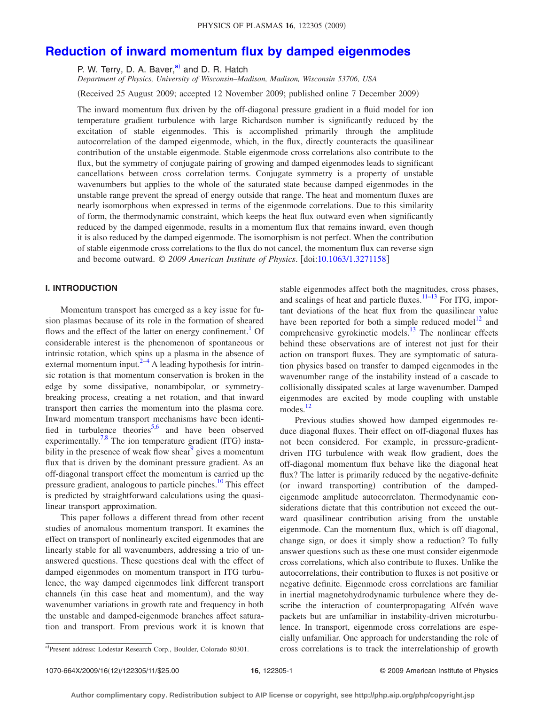# **[Reduction of inward momentum flux by damped eigenmodes](http://dx.doi.org/10.1063/1.3271158)**

P. W. Terry, D. A. Baver,<sup>a)</sup> and D. R. Hatch

*Department of Physics, University of Wisconsin–Madison, Madison, Wisconsin 53706, USA*

Received 25 August 2009; accepted 12 November 2009; published online 7 December 2009-

The inward momentum flux driven by the off-diagonal pressure gradient in a fluid model for ion temperature gradient turbulence with large Richardson number is significantly reduced by the excitation of stable eigenmodes. This is accomplished primarily through the amplitude autocorrelation of the damped eigenmode, which, in the flux, directly counteracts the quasilinear contribution of the unstable eigenmode. Stable eigenmode cross correlations also contribute to the flux, but the symmetry of conjugate pairing of growing and damped eigenmodes leads to significant cancellations between cross correlation terms. Conjugate symmetry is a property of unstable wavenumbers but applies to the whole of the saturated state because damped eigenmodes in the unstable range prevent the spread of energy outside that range. The heat and momentum fluxes are nearly isomorphous when expressed in terms of the eigenmode correlations. Due to this similarity of form, the thermodynamic constraint, which keeps the heat flux outward even when significantly reduced by the damped eigenmode, results in a momentum flux that remains inward, even though it is also reduced by the damped eigenmode. The isomorphism is not perfect. When the contribution of stable eigenmode cross correlations to the flux do not cancel, the momentum flux can reverse sign and become outward. © *2009 American Institute of Physics*. doi[:10.1063/1.3271158](http://dx.doi.org/10.1063/1.3271158)

# **I. INTRODUCTION**

Momentum transport has emerged as a key issue for fusion plasmas because of its role in the formation of sheared flows and the effect of the latter on energy confinement.<sup>1</sup> Of considerable interest is the phenomenon of spontaneous or intrinsic rotation, which spins up a plasma in the absence of external momentum input. $2-4$  $2-4$  A leading hypothesis for intrinsic rotation is that momentum conservation is broken in the edge by some dissipative, nonambipolar, or symmetrybreaking process, creating a net rotation, and that inward transport then carries the momentum into the plasma core. Inward momentum transport mechanisms have been identi-fied in turbulence theories<sup>5[,6](#page-10-4)</sup> and have been observed experimentally.<sup>7[,8](#page-10-6)</sup> The ion temperature gradient (ITG) instability in the presence of weak flow shear $\degree$  gives a momentum flux that is driven by the dominant pressure gradient. As an off-diagonal transport effect the momentum is carried up the pressure gradient, analogous to particle pinches.<sup>10</sup> This effect is predicted by straightforward calculations using the quasilinear transport approximation.

This paper follows a different thread from other recent studies of anomalous momentum transport. It examines the effect on transport of nonlinearly excited eigenmodes that are linearly stable for all wavenumbers, addressing a trio of unanswered questions. These questions deal with the effect of damped eigenmodes on momentum transport in ITG turbulence, the way damped eigenmodes link different transport channels (in this case heat and momentum), and the way wavenumber variations in growth rate and frequency in both the unstable and damped-eigenmode branches affect saturation and transport. From previous work it is known that stable eigenmodes affect both the magnitudes, cross phases, and scalings of heat and particle fluxes. $11-13$  For ITG, important deviations of the heat flux from the quasilinear value have been reported for both a simple reduced model<sup>12</sup> and comprehensive gyrokinetic models. $13$  The nonlinear effects behind these observations are of interest not just for their action on transport fluxes. They are symptomatic of saturation physics based on transfer to damped eigenmodes in the wavenumber range of the instability instead of a cascade to collisionally dissipated scales at large wavenumber. Damped eigenmodes are excited by mode coupling with unstable modes.<sup>12</sup>

Previous studies showed how damped eigenmodes reduce diagonal fluxes. Their effect on off-diagonal fluxes has not been considered. For example, in pressure-gradientdriven ITG turbulence with weak flow gradient, does the off-diagonal momentum flux behave like the diagonal heat flux? The latter is primarily reduced by the negative-definite (or inward transporting) contribution of the dampedeigenmode amplitude autocorrelaton. Thermodynamic considerations dictate that this contribution not exceed the outward quasilinear contribution arising from the unstable eigenmode. Can the momentum flux, which is off diagonal, change sign, or does it simply show a reduction? To fully answer questions such as these one must consider eigenmode cross correlations, which also contribute to fluxes. Unlike the autocorrelations, their contribution to fluxes is not positive or negative definite. Eigenmode cross correlations are familiar in inertial magnetohydrodynamic turbulence where they describe the interaction of counterpropagating Alfvén wave packets but are unfamiliar in instability-driven microturbulence. In transport, eigenmode cross correlations are especially unfamiliar. One approach for understanding the role of cross correlations is to track the interrelationship of growth

<span id="page-0-0"></span>Present address: Lodestar Research Corp., Boulder, Colorado 80301.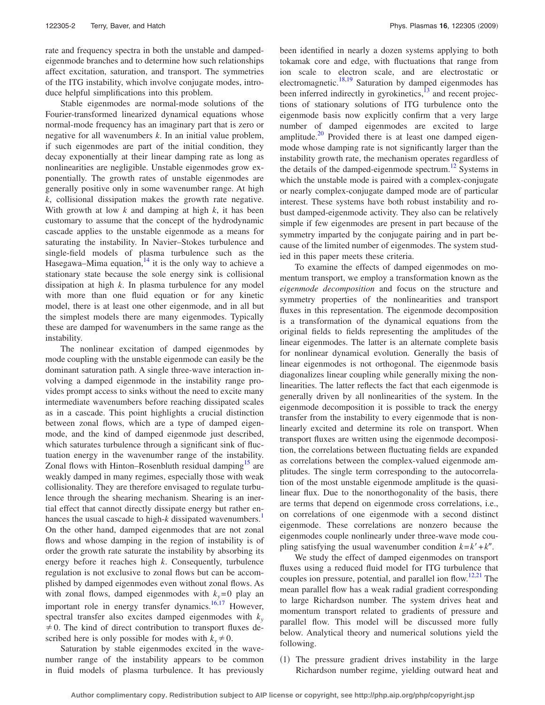rate and frequency spectra in both the unstable and dampedeigenmode branches and to determine how such relationships affect excitation, saturation, and transport. The symmetries of the ITG instability, which involve conjugate modes, introduce helpful simplifications into this problem.

Stable eigenmodes are normal-mode solutions of the Fourier-transformed linearized dynamical equations whose normal-mode frequency has an imaginary part that is zero or negative for all wavenumbers *k*. In an initial value problem, if such eigenmodes are part of the initial condition, they decay exponentially at their linear damping rate as long as nonlinearities are negligible. Unstable eigenmodes grow exponentially. The growth rates of unstable eigenmodes are generally positive only in some wavenumber range. At high *k*, collisional dissipation makes the growth rate negative. With growth at low *k* and damping at high *k*, it has been customary to assume that the concept of the hydrodynamic cascade applies to the unstable eigenmode as a means for saturating the instability. In Navier–Stokes turbulence and single-field models of plasma turbulence such as the Hasegawa–Mima equation, $14$  it is the only way to achieve a stationary state because the sole energy sink is collisional dissipation at high *k*. In plasma turbulence for any model with more than one fluid equation or for any kinetic model, there is at least one other eigenmode, and in all but the simplest models there are many eigenmodes. Typically these are damped for wavenumbers in the same range as the instability.

The nonlinear excitation of damped eigenmodes by mode coupling with the unstable eigenmode can easily be the dominant saturation path. A single three-wave interaction involving a damped eigenmode in the instability range provides prompt access to sinks without the need to excite many intermediate wavenumbers before reaching dissipated scales as in a cascade. This point highlights a crucial distinction between zonal flows, which are a type of damped eigenmode, and the kind of damped eigenmode just described, which saturates turbulence through a significant sink of fluctuation energy in the wavenumber range of the instability. Zonal flows with Hinton–Rosenbluth residual damping<sup>15</sup> are weakly damped in many regimes, especially those with weak collisionality. They are therefore envisaged to regulate turbulence through the shearing mechanism. Shearing is an inertial effect that cannot directly dissipate energy but rather enhances the usual cascade to high-*k* dissipated wavenumbers.<sup>1</sup> On the other hand, damped eigenmodes that are not zonal flows and whose damping in the region of instability is of order the growth rate saturate the instability by absorbing its energy before it reaches high *k*. Consequently, turbulence regulation is not exclusive to zonal flows but can be accomplished by damped eigenmodes even without zonal flows. As with zonal flows, damped eigenmodes with  $k_y=0$  play an important role in energy transfer dynamics.<sup>16,[17](#page-10-15)</sup> However, spectral transfer also excites damped eigenmodes with  $k_y$  $\neq$  0. The kind of direct contribution to transport fluxes described here is only possible for modes with  $k_y \neq 0$ .

Saturation by stable eigenmodes excited in the wavenumber range of the instability appears to be common in fluid models of plasma turbulence. It has previously been identified in nearly a dozen systems applying to both tokamak core and edge, with fluctuations that range from ion scale to electron scale, and are electrostatic or electromagnetic.<sup>18[,19](#page-10-17)</sup> Saturation by damped eigenmodes has been inferred indirectly in gyrokinetics, $^{13}$  and recent projections of stationary solutions of ITG turbulence onto the eigenmode basis now explicitly confirm that a very large number of damped eigenmodes are excited to large amplitude. $^{20}$  Provided there is at least one damped eigenmode whose damping rate is not significantly larger than the instability growth rate, the mechanism operates regardless of the details of the damped-eigenmode spectrum.<sup>12</sup> Systems in which the unstable mode is paired with a complex-conjugate or nearly complex-conjugate damped mode are of particular interest. These systems have both robust instability and robust damped-eigenmode activity. They also can be relatively simple if few eigenmodes are present in part because of the symmetry imparted by the conjugate pairing and in part because of the limited number of eigenmodes. The system studied in this paper meets these criteria.

To examine the effects of damped eigenmodes on momentum transport, we employ a transformation known as the *eigenmode decomposition* and focus on the structure and symmetry properties of the nonlinearities and transport fluxes in this representation. The eigenmode decomposition is a transformation of the dynamical equations from the original fields to fields representing the amplitudes of the linear eigenmodes. The latter is an alternate complete basis for nonlinear dynamical evolution. Generally the basis of linear eigenmodes is not orthogonal. The eigenmode basis diagonalizes linear coupling while generally mixing the nonlinearities. The latter reflects the fact that each eigenmode is generally driven by all nonlinearities of the system. In the eigenmode decomposition it is possible to track the energy transfer from the instability to every eigenmode that is nonlinearly excited and determine its role on transport. When transport fluxes are written using the eigenmode decomposition, the correlations between fluctuating fields are expanded as correlations between the complex-valued eigenmode amplitudes. The single term corresponding to the autocorrelation of the most unstable eigenmode amplitude is the quasilinear flux. Due to the nonorthogonality of the basis, there are terms that depend on eigenmode cross correlations, i.e., on correlations of one eigenmode with a second distinct eigenmode. These correlations are nonzero because the eigenmodes couple nonlinearly under three-wave mode coupling satisfying the usual wavenumber condition  $k = k' + k''$ .

We study the effect of damped eigenmodes on transport fluxes using a reduced fluid model for ITG turbulence that couples ion pressure, potential, and parallel ion flow.<sup>12[,21](#page-10-19)</sup> The mean parallel flow has a weak radial gradient corresponding to large Richardson number. The system drives heat and momentum transport related to gradients of pressure and parallel flow. This model will be discussed more fully below. Analytical theory and numerical solutions yield the following.

(1) The pressure gradient drives instability in the large Richardson number regime, yielding outward heat and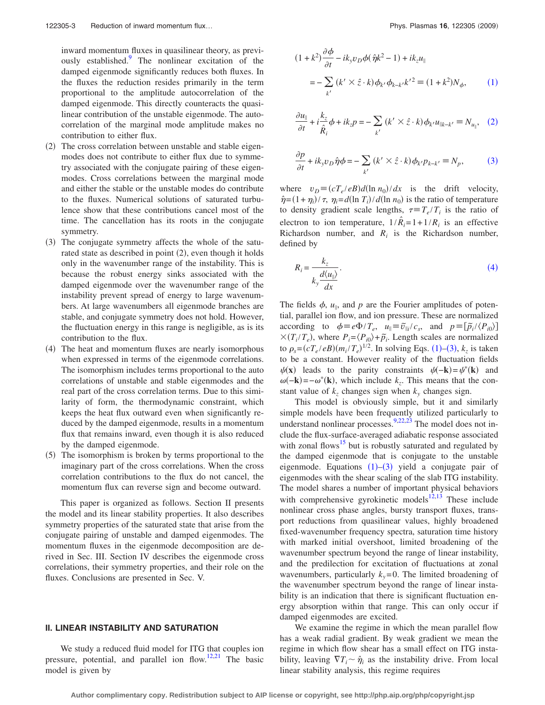inward momentum fluxes in quasilinear theory, as previously established[.9](#page-10-7) The nonlinear excitation of the damped eigenmode significantly reduces both fluxes. In the fluxes the reduction resides primarily in the term proportional to the amplitude autocorrelation of the damped eigenmode. This directly counteracts the quasilinear contribution of the unstable eigenmode. The autocorrelation of the marginal mode amplitude makes no contribution to either flux.

- (2) The cross correlation between unstable and stable eigenmodes does not contribute to either flux due to symmetry associated with the conjugate pairing of these eigenmodes. Cross correlations between the marginal mode and either the stable or the unstable modes do contribute to the fluxes. Numerical solutions of saturated turbulence show that these contributions cancel most of the time. The cancellation has its roots in the conjugate symmetry.
- (3) The conjugate symmetry affects the whole of the saturated state as described in point (2), even though it holds only in the wavenumber range of the instability. This is because the robust energy sinks associated with the damped eigenmode over the wavenumber range of the instability prevent spread of energy to large wavenumbers. At large wavenumbers all eigenmode branches are stable, and conjugate symmetry does not hold. However, the fluctuation energy in this range is negligible, as is its contribution to the flux.
- (4) The heat and momentum fluxes are nearly isomorphous when expressed in terms of the eigenmode correlations. The isomorphism includes terms proportional to the auto correlations of unstable and stable eigenmodes and the real part of the cross correlation terms. Due to this similarity of form, the thermodynamic constraint, which keeps the heat flux outward even when significantly reduced by the damped eigenmode, results in a momentum flux that remains inward, even though it is also reduced by the damped eigenmode.
- (5) The isomorphism is broken by terms proportional to the imaginary part of the cross correlations. When the cross correlation contributions to the flux do not cancel, the momentum flux can reverse sign and become outward.

This paper is organized as follows. Section II presents the model and its linear stability properties. It also describes symmetry properties of the saturated state that arise from the conjugate pairing of unstable and damped eigenmodes. The momentum fluxes in the eigenmode decomposition are derived in Sec. III. Section IV describes the eigenmode cross correlations, their symmetry properties, and their role on the fluxes. Conclusions are presented in Sec. V.

## **II. LINEAR INSTABILITY AND SATURATION**

We study a reduced fluid model for ITG that couples ion pressure, potential, and parallel ion flow.<sup>12[,21](#page-10-19)</sup> The basic model is given by

<span id="page-2-0"></span>
$$
(1 + k2) \frac{\partial \phi}{\partial t} - ik_y v_D \phi (\hat{\eta} k^2 - 1) + ik_z u_{\parallel}
$$
  
= 
$$
- \sum_{k'} (k' \times \hat{z} \cdot k) \phi_{k'} \phi_{k-k'} k'^2 \equiv (1 + k^2) N_{\phi}, \qquad (1)
$$

<span id="page-2-1"></span>
$$
\frac{\partial u_{\parallel}}{\partial t} + i \frac{k_z}{\hat{R}_i} \phi + ik_z p = -\sum_{k'} (k' \times \hat{z} \cdot k) \phi_{k'} u_{\parallel k - k'} \equiv N_{u_{\parallel}}, \quad (2)
$$

<span id="page-2-2"></span>
$$
\frac{\partial p}{\partial t} + ik_y v_D \hat{\eta} \phi = -\sum_{k'} (k' \times \hat{z} \cdot k) \phi_{k'} p_{k-k'} \equiv N_p, \tag{3}
$$

where  $v_D = (cT_e/eB)d(\ln n_0)/dx$  is the drift velocity,  $\hat{\eta} = (1 + \eta_i)/\tau$ ,  $\eta_i = d(\ln T_i)/d(\ln n_0)$  is the ratio of temperature to density gradient scale lengths,  $\tau = T_e/T_i$  is the ratio of electron to ion temperature,  $1/\hat{R}_i = 1 + 1/R_i$  is an effective Richardson number, and  $R_i$  is the Richardson number, defined by

<span id="page-2-3"></span>
$$
R_i = \frac{k_z}{k_y \frac{d\langle u_{\parallel} \rangle}{dx}}.
$$
\n(4)

The fields  $\phi$ ,  $u_{\parallel}$ , and p are the Fourier amplitudes of potential, parallel ion flow, and ion pressure. These are normalized according to  $\phi = e\Phi/T_e$ ,  $u_{\parallel} = \tilde{v}_{\parallel i}/c_s$ , and  $p = [\tilde{p}_i/(P_{i0})]$  $X(T_i/T_e)$ , where  $P_i = \langle P_{i0} \rangle + \tilde{p}_i$ . Length scales are normalized to  $\rho_s = (cT_e / eB)(m_i / T_e)^{1/2}$  $\rho_s = (cT_e / eB)(m_i / T_e)^{1/2}$  $\rho_s = (cT_e / eB)(m_i / T_e)^{1/2}$ . In solving Eqs. (1)–([3](#page-2-2)),  $k_z$  is taken to be a constant. However reality of the fluctuation fields  $\psi(\mathbf{x})$  leads to the parity constraints  $\psi(-\mathbf{k}) = \psi^*(\mathbf{k})$  and  $\omega(-\mathbf{k}) = -\omega^*(\mathbf{k})$ , which include  $k_z$ . This means that the constant value of  $k_z$  changes sign when  $k_y$  changes sign.

This model is obviously simple, but it and similarly simple models have been frequently utilized particularly to understand nonlinear processes.<sup>9,[22,](#page-10-20)[23](#page-10-21)</sup> The model does not include the flux-surface-averaged adiabatic response associated with zonal flows<sup>15</sup> but is robustly saturated and regulated by the damped eigenmode that is conjugate to the unstable eigenmode. Equations  $(1)$  $(1)$  $(1)$ - $(3)$  $(3)$  $(3)$  yield a conjugate pair of eigenmodes with the shear scaling of the slab ITG instability. The model shares a number of important physical behaviors with comprehensive gyrokinetic models $12,13$  $12,13$  These include nonlinear cross phase angles, bursty transport fluxes, transport reductions from quasilinear values, highly broadened fixed-wavenumber frequency spectra, saturation time history with marked initial overshoot, limited broadening of the wavenumber spectrum beyond the range of linear instability, and the predilection for excitation of fluctuations at zonal wavenumbers, particularly  $k_y = 0$ . The limited broadening of the wavenumber spectrum beyond the range of linear instability is an indication that there is significant fluctuation energy absorption within that range. This can only occur if damped eigenmodes are excited.

We examine the regime in which the mean parallel flow has a weak radial gradient. By weak gradient we mean the regime in which flow shear has a small effect on ITG instability, leaving  $\nabla T_i \sim \hat{\eta}_i$  as the instability drive. From local linear stability analysis, this regime requires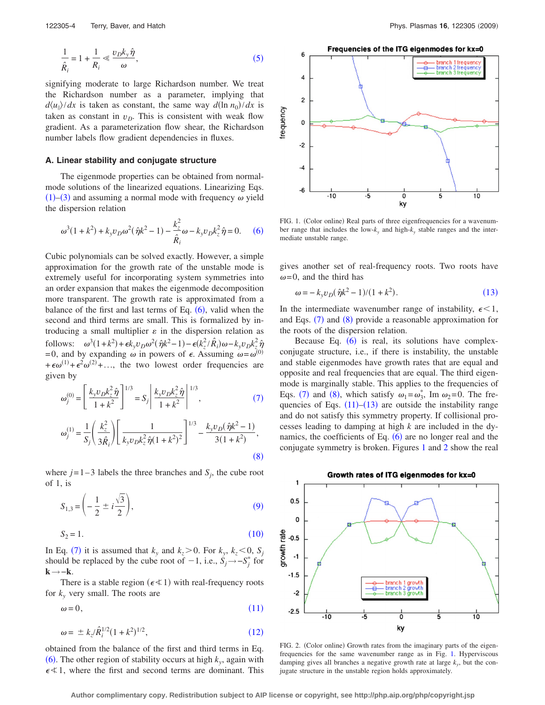<span id="page-3-0"></span>
$$
\frac{1}{\hat{R}_i} = 1 + \frac{1}{R_i} \ll \frac{v_D k_y \hat{\eta}}{\omega},\tag{5}
$$

signifying moderate to large Richardson number. We treat the Richardson number as a parameter, implying that  $d\langle u_{\parallel} \rangle / dx$  is taken as constant, the same way  $d(\ln n_0) / dx$  is taken as constant in  $v<sub>D</sub>$ . This is consistent with weak flow gradient. As a parameterization flow shear, the Richardson number labels flow gradient dependencies in fluxes.

## **A. Linear stability and conjugate structure**

The eigenmode properties can be obtained from normalmode solutions of the linearized equations. Linearizing Eqs. ([1](#page-2-0))–([3](#page-2-2)) and assuming a normal mode with frequency  $\omega$  yield the dispersion relation

<span id="page-3-1"></span>
$$
\omega^3 (1 + k^2) + k_y v_D \omega^2 (\hat{\eta} k^2 - 1) - \frac{k_z^2}{\hat{R}_i} \omega - k_y v_D k_z^2 \hat{\eta} = 0.
$$
 (6)

Cubic polynomials can be solved exactly. However, a simple approximation for the growth rate of the unstable mode is extremely useful for incorporating system symmetries into an order expansion that makes the eigenmode decomposition more transparent. The growth rate is approximated from a balance of the first and last terms of Eq.  $(6)$  $(6)$  $(6)$ , valid when the second and third terms are small. This is formalized by introducing a small multiplier  $\varepsilon$  in the dispersion relation as follows:  $\omega^3(1+k^2) + \epsilon k_y v_D \omega^2(\hat{\eta}k^2-1) - \epsilon (k_z^2/\hat{R}_i)\omega - k_y v_D k_z^2 \hat{\eta}$ =0, and by expanding  $\omega$  in powers of  $\epsilon$ . Assuming  $\omega = \omega^{(0)}$  $+\epsilon\omega^{(1)} + \epsilon^2\omega^{(2)} + ...$ , the two lowest order frequencies are given by

<span id="page-3-2"></span>
$$
\omega_j^{(0)} = \left[ \frac{k_y v_D k_z^2 \hat{\eta}}{1 + k^2} \right]^{1/3} = S_j \left| \frac{k_y v_D k_z^2 \hat{\eta}}{1 + k^2} \right|^{1/3},\tag{7}
$$

<span id="page-3-3"></span>
$$
\omega_j^{(1)} = \frac{1}{S_j} \left( \frac{k_z^2}{3\hat{R}_i} \right) \left[ \frac{1}{k_y v_D k_z^2 \hat{\eta} (1 + k^2)^2} \right]^{1/3} - \frac{k_y v_D (\hat{\eta} k^2 - 1)}{3(1 + k^2)},
$$
\n(8)

where  $j=1-3$  labels the three branches and  $S_j$ , the cube root of 1, is

<span id="page-3-4"></span>
$$
S_{1,3} = \left(-\frac{1}{2} \pm i\frac{\sqrt{3}}{2}\right),\tag{9}
$$

<span id="page-3-5"></span>
$$
S_2 = 1.\t\t(10)
$$

In Eq. ([7](#page-3-2)) it is assumed that  $k_y$  and  $k_z > 0$ . For  $k_y$ ,  $k_z < 0$ ,  $S_j$ should be replaced by the cube root of  $-1$ , i.e.,  $\dot{S}_j \rightarrow -S_j^*$  for **k**→−**k**.

There is a stable region ( $\epsilon \leq 1$ ) with real-frequency roots for *ky* very small. The roots are

<span id="page-3-6"></span>
$$
\omega = 0,\tag{11}
$$

<span id="page-3-7"></span>
$$
\omega = \pm k_z / \hat{R}_i^{1/2} (1 + k^2)^{1/2}, \qquad (12)
$$

obtained from the balance of the first and third terms in Eq.  $(6)$  $(6)$  $(6)$ . The other region of stability occurs at high  $k_y$ , again with  $\epsilon \leq 1$ , where the first and second terms are dominant. This

<span id="page-3-9"></span>

FIG. 1. (Color online) Real parts of three eigenfrequencies for a wavenumber range that includes the low- $k_y$  and high- $k_y$  stable ranges and the intermediate unstable range.

gives another set of real-frequency roots. Two roots have  $\omega$ =0, and the third has

<span id="page-3-8"></span>
$$
\omega = -k_y v_D (\hat{\eta} k^2 - 1)/(1 + k^2). \tag{13}
$$

In the intermediate wavenumber range of instability,  $\epsilon < 1$ , and Eqs. ([7](#page-3-2)) and ([8](#page-3-3)) provide a reasonable approximation for the roots of the dispersion relation.

Because Eq.  $(6)$  $(6)$  $(6)$  is real, its solutions have complexconjugate structure, i.e., if there is instability, the unstable and stable eigenmodes have growth rates that are equal and opposite and real frequencies that are equal. The third eigenmode is marginally stable. This applies to the frequencies of Eqs. ([7](#page-3-2)) and ([8](#page-3-3)), which satisfy  $\omega_1 = \omega_3^*$ , Im  $\omega_2 = 0$ . The frequencies of Eqs.  $(11)$  $(11)$  $(11)$ – $(13)$  $(13)$  $(13)$  are outside the instability range and do not satisfy this symmetry property. If collisional processes leading to damping at high *k* are included in the dynamics, the coefficients of Eq.  $(6)$  $(6)$  $(6)$  are no longer real and the conjugate symmetry is broken. Figures [1](#page-3-9) and [2](#page-3-10) show the real

<span id="page-3-10"></span>

FIG. 2. (Color online) Growth rates from the imaginary parts of the eigenfrequencies for the same wavenumber range as in Fig. [1.](#page-3-9) Hyperviscous damping gives all branches a negative growth rate at large  $k_{y}$ , but the conjugate structure in the unstable region holds approximately.

**Author complimentary copy. Redistribution subject to AIP license or copyright, see http://php.aip.org/php/copyright.jsp**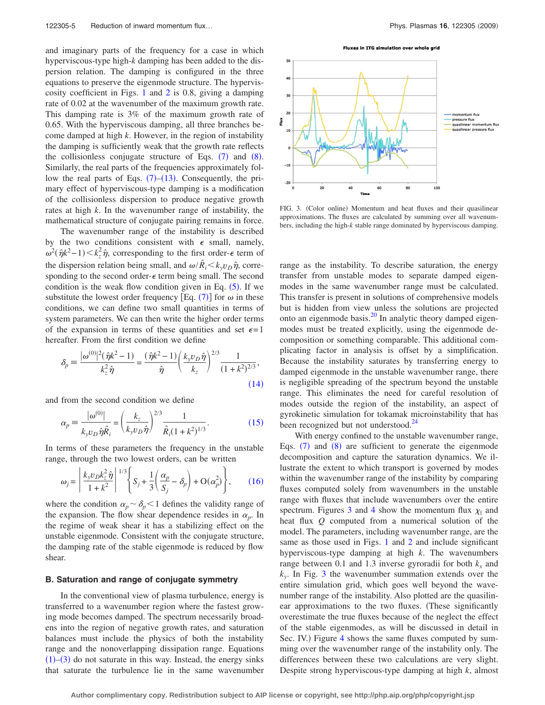and imaginary parts of the frequency for a case in which hyperviscous-type high-*k* damping has been added to the dispersion relation. The damping is configured in the three equations to preserve the eigenmode structure. The hyperviscosity coefficient in Figs. [1](#page-3-9) and [2](#page-3-10) is 0.8, giving a damping rate of 0.02 at the wavenumber of the maximum growth rate. This damping rate is 3% of the maximum growth rate of 0.65. With the hyperviscous damping, all three branches become damped at high *k*. However, in the region of instability the damping is sufficiently weak that the growth rate reflects the collisionless conjugate structure of Eqs.  $(7)$  $(7)$  $(7)$  and  $(8)$  $(8)$  $(8)$ . Similarly, the real parts of the frequencies approximately follow the real parts of Eqs.  $(7)$  $(7)$  $(7)$ – $(13)$  $(13)$  $(13)$ . Consequently, the primary effect of hyperviscous-type damping is a modification of the collisionless dispersion to produce negative growth rates at high *k*. In the wavenumber range of instability, the mathematical structure of conjugate pairing remains in force.

The wavenumber range of the instability is described by the two conditions consistent with  $\epsilon$  small, namely,  $\omega^2(\hat{\eta}k^2 - 1) < k_z^2 \hat{\eta}$ , corresponding to the first order- $\epsilon$  term of the dispersion relation being small, and  $\omega/\hat{R}_i \ll k_y v_D \hat{\eta}$ , corresponding to the second order- $\epsilon$  term being small. The second condition is the weak flow condition given in Eq.  $(5)$  $(5)$  $(5)$ . If we substitute the lowest order frequency [Eq. ([7](#page-3-2))] for  $\omega$  in these conditions, we can define two small quantities in terms of system parameters. We can then write the higher order terms of the expansion in terms of these quantities and set  $\epsilon = 1$ hereafter. From the first condition we define

<span id="page-4-0"></span>
$$
\delta_p = \frac{|\omega^{(0)}|^2(\hat{\eta}k^2 - 1)}{k_z^2 \hat{\eta}} = \frac{(\hat{\eta}k^2 - 1)}{\hat{\eta}} \left(\frac{k_y v_D \hat{\eta}}{k_z}\right)^{2/3} \frac{1}{(1 + k^2)^{2/3}},\tag{14}
$$

<span id="page-4-1"></span>and from the second condition we define

$$
\alpha_p = \frac{|\omega^{(0)}|}{k_y v_D \hat{\eta} \hat{R}_i} = \left(\frac{k_z}{k_y v_D \hat{\eta}}\right)^{2/3} \frac{1}{\hat{R}_i (1 + k^2)^{1/3}}.
$$
(15)

<span id="page-4-2"></span>In terms of these parameters the frequency in the unstable range, through the two lowest orders, can be written

$$
\omega_j = \left| \frac{k_y v_D k_z^2 \hat{\eta}}{1 + k^2} \right|^{1/3} \left\{ S_j + \frac{1}{3} \left( \frac{\alpha_p}{S_j} - \delta_p \right) + \mathcal{O}(\alpha_p^2) \right\},\qquad(16)
$$

where the condition  $\alpha_p \sim \delta_p < 1$  defines the validity range of the expansion. The flow shear dependence resides in  $\alpha_p$ . In the regime of weak shear it has a stabilizing effect on the unstable eigenmode. Consistent with the conjugate structure, the damping rate of the stable eigenmode is reduced by flow shear.

#### **B. Saturation and range of conjugate symmetry**

In the conventional view of plasma turbulence, energy is transferred to a wavenumber region where the fastest growing mode becomes damped. The spectrum necessarily broadens into the region of negative growth rates, and saturation balances must include the physics of both the instability range and the nonoverlapping dissipation range. Equations  $(1)$  $(1)$  $(1)$ – $(3)$  $(3)$  $(3)$  do not saturate in this way. Instead, the energy sinks that saturate the turbulence lie in the same wavenumber

Fluxes in ITG simulation over whole grid

<span id="page-4-3"></span>

FIG. 3. (Color online) Momentum and heat fluxes and their quasilinear approximations. The fluxes are calculated by summing over all wavenumbers, including the high-*k* stable range dominated by hyperviscous damping.

range as the instability. To describe saturation, the energy transfer from unstable modes to separate damped eigenmodes in the same wavenumber range must be calculated. This transfer is present in solutions of comprehensive models but is hidden from view unless the solutions are projected onto an eigenmode basis. $^{20}$  In analytic theory damped eigenmodes must be treated explicitly, using the eigenmode decomposition or something comparable. This additional complicating factor in analysis is offset by a simplification. Because the instability saturates by transferring energy to damped eigenmode in the unstable wavenumber range, there is negligible spreading of the spectrum beyond the unstable range. This eliminates the need for careful resolution of modes outside the region of the instability, an aspect of gyrokinetic simulation for tokamak microinstability that has been recognized but not understood.<sup>24</sup>

With energy confined to the unstable wavenumber range, Eqs.  $(7)$  $(7)$  $(7)$  and  $(8)$  $(8)$  $(8)$  are sufficient to generate the eigenmode decomposition and capture the saturation dynamics. We illustrate the extent to which transport is governed by modes within the wavenumber range of the instability by comparing fluxes computed solely from wavenumbers in the unstable range with fluxes that include wavenumbers over the entire spectrum. Figures [3](#page-4-3) and [4](#page-5-0) show the momentum flux  $\chi_{\parallel}$  and heat flux *Q* computed from a numerical solution of the model. The parameters, including wavenumber range, are the same as those used in Figs. [1](#page-3-9) and [2](#page-3-10) and include significant hyperviscous-type damping at high *k*. The wavenumbers range between 0.1 and 1.3 inverse gyroradii for both  $k_x$  and  $k_v$ . In Fig. [3](#page-4-3) the wavenumber summation extends over the entire simulation grid, which goes well beyond the wavenumber range of the instability. Also plotted are the quasilinear approximations to the two fluxes. These significantly overestimate the true fluxes because of the neglect the effect of the stable eigenmodes, as will be discussed in detail in Sec. IV.) Figure [4](#page-5-0) shows the same fluxes computed by summing over the wavenumber range of the instability only. The differences between these two calculations are very slight. Despite strong hyperviscous-type damping at high *k*, almost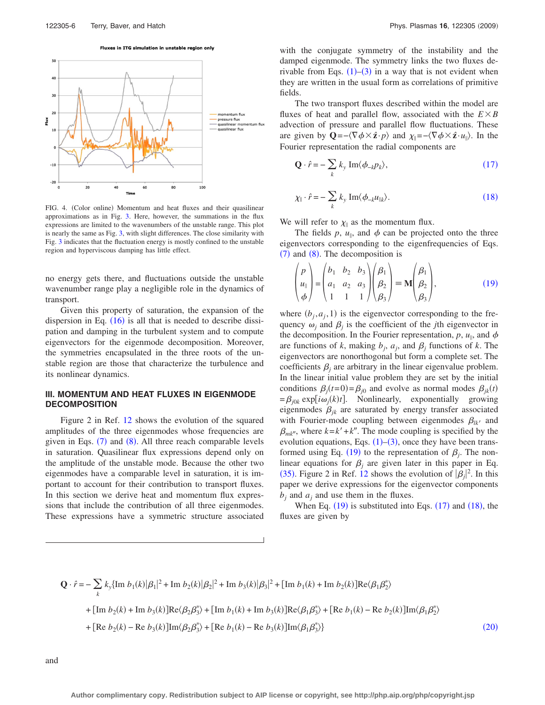Fluxes in ITG simulation in unstable region only

<span id="page-5-0"></span>

FIG. 4. (Color online) Momentum and heat fluxes and their quasilinear approximations as in Fig. [3.](#page-4-3) Here, however, the summations in the flux expressions are limited to the wavenumbers of the unstable range. This plot is nearly the same as Fig. [3,](#page-4-3) with slight differences. The close similarity with Fig. [3](#page-4-3) indicates that the fluctuation energy is mostly confined to the unstable region and hyperviscous damping has little effect.

no energy gets there, and fluctuations outside the unstable wavenumber range play a negligible role in the dynamics of transport.

Given this property of saturation, the expansion of the dispersion in Eq.  $(16)$  $(16)$  $(16)$  is all that is needed to describe dissipation and damping in the turbulent system and to compute eigenvectors for the eigenmode decomposition. Moreover, the symmetries encapsulated in the three roots of the unstable region are those that characterize the turbulence and its nonlinear dynamics.

# **III. MOMENTUM AND HEAT FLUXES IN EIGENMODE DECOMPOSITION**

Figure 2 in Ref. [12](#page-10-11) shows the evolution of the squared amplitudes of the three eigenmodes whose frequencies are given in Eqs. ([7](#page-3-2)) and ([8](#page-3-3)). All three reach comparable levels in saturation. Quasilinear flux expressions depend only on the amplitude of the unstable mode. Because the other two eigenmodes have a comparable level in saturation, it is important to account for their contribution to transport fluxes. In this section we derive heat and momentum flux expressions that include the contribution of all three eigenmodes. These expressions have a symmetric structure associated with the conjugate symmetry of the instability and the damped eigenmode. The symmetry links the two fluxes derivable from Eqs.  $(1)$  $(1)$  $(1)$ – $(3)$  $(3)$  $(3)$  in a way that is not evident when they are written in the usual form as correlations of primitive fields.

The two transport fluxes described within the model are fluxes of heat and parallel flow, associated with the  $E \times B$ advection of pressure and parallel flow fluctuations. These are given by  $\mathbf{Q} = -\langle \nabla \phi \times \hat{\mathbf{z}} \cdot p \rangle$  and  $\chi_{\parallel} = -\langle \nabla \phi \times \hat{\mathbf{z}} \cdot u_{\parallel} \rangle$ . In the Fourier representation the radial components are

<span id="page-5-1"></span>
$$
\mathbf{Q} \cdot \hat{r} = -\sum_{k} k_{y} \operatorname{Im} \langle \phi_{-k} p_{k} \rangle, \tag{17}
$$

<span id="page-5-2"></span>
$$
\chi_{\parallel} \cdot \hat{r} = -\sum_{k} k_{y} \operatorname{Im} \langle \phi_{-k} u_{\parallel k} \rangle. \tag{18}
$$

We will refer to  $\chi_{\parallel}$  as the momentum flux.

The fields  $p$ ,  $u_{\parallel}$ , and  $\phi$  can be projected onto the three eigenvectors corresponding to the eigenfrequencies of Eqs.  $(7)$  $(7)$  $(7)$  and  $(8)$  $(8)$  $(8)$ . The decomposition is

<span id="page-5-3"></span>
$$
\begin{pmatrix} p \\ u_{\parallel} \\ \phi \end{pmatrix} = \begin{pmatrix} b_1 & b_2 & b_3 \\ a_1 & a_2 & a_3 \\ 1 & 1 & 1 \end{pmatrix} \begin{pmatrix} \beta_1 \\ \beta_2 \\ \beta_3 \end{pmatrix} \equiv \mathbf{M} \begin{pmatrix} \beta_1 \\ \beta_2 \\ \beta_3 \end{pmatrix}, \tag{19}
$$

where  $(b_j, a_j, 1)$  is the eigenvector corresponding to the frequency  $\omega_i$  and  $\beta_i$  is the coefficient of the *j*th eigenvector in the decomposition. In the Fourier representation,  $p, u_{\parallel}$ , and  $\phi$ are functions of *k*, making  $b_j$ ,  $a_j$ , and  $\beta_j$  functions of *k*. The eigenvectors are nonorthogonal but form a complete set. The coefficients  $\beta_i$  are arbitrary in the linear eigenvalue problem. In the linear initial value problem they are set by the initial conditions  $\beta_j(t=0) = \beta_{j0}$  and evolve as normal modes  $\beta_{jk}(t)$  $=$  $\beta_{j0k}$  exp[ $i\omega_j(k)t$ ]. Nonlinearly, exponentially growing eigenmodes  $\beta_{ik}$  are saturated by energy transfer associated with Fourier-mode coupling between eigenmodes  $\beta_{lk'}$  and  $\beta_{mk''}$ , where  $k = k' + k''$ . The mode coupling is specified by the evolution equations, Eqs.  $(1)$  $(1)$  $(1)$ – $(3)$  $(3)$  $(3)$ , once they have been trans-formed using Eq. ([19](#page-5-3)) to the representation of  $\beta_j$ . The nonlinear equations for  $\beta_i$  are given later in this paper in Eq. ([35](#page-9-0)). Figure 2 in Ref. [12](#page-10-11) shows the evolution of  $|\beta_j|^2$ . In this paper we derive expressions for the eigenvector components  $b_i$  and  $a_i$  and use them in the fluxes.

When Eq.  $(19)$  $(19)$  $(19)$  is substituted into Eqs.  $(17)$  $(17)$  $(17)$  and  $(18)$  $(18)$  $(18)$ , the fluxes are given by

<span id="page-5-4"></span>
$$
\mathbf{Q} \cdot \hat{r} = -\sum_{k} k_{y} \{ \text{Im } b_{1}(k) |\beta_{1}|^{2} + \text{Im } b_{2}(k) |\beta_{2}|^{2} + \text{Im } b_{3}(k) |\beta_{3}|^{2} + \left[ \text{Im } b_{1}(k) + \text{Im } b_{2}(k) \right] \text{Re}\langle\beta_{1}\beta_{2}^{*}\rangle
$$
  
+ 
$$
[\text{Im } b_{2}(k) + \text{Im } b_{3}(k)] \text{Re}\langle\beta_{2}\beta_{3}^{*}\rangle + [\text{Im } b_{1}(k) + \text{Im } b_{3}(k)] \text{Re}\langle\beta_{1}\beta_{3}^{*}\rangle + [\text{Re } b_{1}(k) - \text{Re } b_{2}(k)] \text{Im}\langle\beta_{1}\beta_{2}^{*}\rangle
$$
  
+ 
$$
[\text{Re } b_{2}(k) - \text{Re } b_{3}(k)] \text{Im}\langle\beta_{2}\beta_{3}^{*}\rangle + [\text{Re } b_{1}(k) - \text{Re } b_{3}(k)] \text{Im}\langle\beta_{1}\beta_{3}^{*}\rangle ]
$$
 (20)

and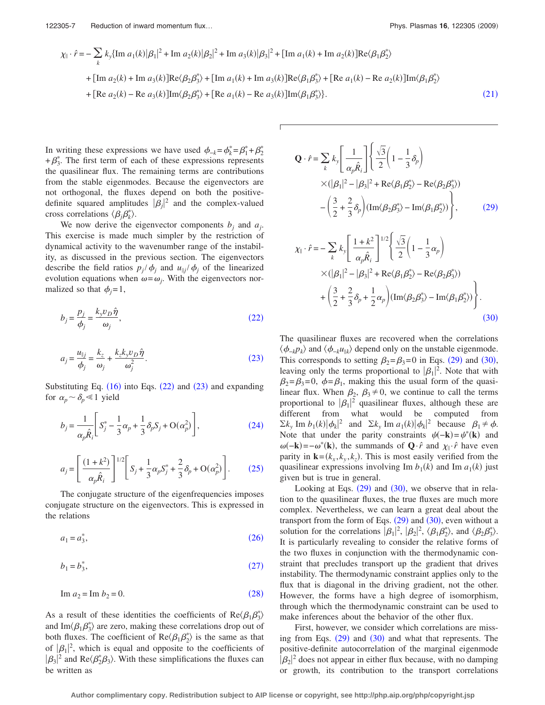<span id="page-6-0"></span>
$$
\chi_{\parallel} \cdot \hat{r} = -\sum_{k} k_{y} \{ \text{Im } a_{1}(k) |\beta_{1}|^{2} + \text{Im } a_{2}(k) |\beta_{2}|^{2} + \text{Im } a_{3}(k) |\beta_{3}|^{2} + \left[ \text{Im } a_{1}(k) + \text{Im } a_{2}(k) \right] \text{Re} \langle \beta_{1} \beta_{2}^{*} \rangle
$$
  
+ 
$$
[\text{Im } a_{2}(k) + \text{Im } a_{3}(k)] \text{Re} \langle \beta_{2} \beta_{3}^{*} \rangle + [\text{Im } a_{1}(k) + \text{Im } a_{3}(k)] \text{Re} \langle \beta_{1} \beta_{3}^{*} \rangle + [\text{Re } a_{1}(k) - \text{Re } a_{2}(k)] \text{Im} \langle \beta_{1} \beta_{2}^{*} \rangle
$$
  
+ 
$$
[\text{Re } a_{2}(k) - \text{Re } a_{3}(k)] \text{Im} \langle \beta_{2} \beta_{3}^{*} \rangle + [\text{Re } a_{1}(k) - \text{Re } a_{3}(k)] \text{Im} \langle \beta_{1} \beta_{3}^{*} \rangle].
$$
 (21)

In writing these expressions we have used  $\phi_{-k} = \phi_k^* = \beta_1^* + \beta_2^*$  $+\beta_3^*$ . The first term of each of these expressions represents the quasilinear flux. The remaining terms are contributions from the stable eigenmodes. Because the eigenvectors are not orthogonal, the fluxes depend on both the positivedefinite squared amplitudes  $|\beta_j|^2$  and the complex-valued cross correlations  $\langle \beta_j \beta_k^* \rangle$ .

We now derive the eigenvector components  $b_i$  and  $a_j$ . This exercise is made much simpler by the restriction of dynamical activity to the wavenumber range of the instability, as discussed in the previous section. The eigenvectors describe the field ratios  $p_j / \phi_j$  and  $u_{\parallel j} / \phi_j$  of the linearized evolution equations when  $\omega = \omega_i$ . With the eigenvectors normalized so that  $\phi_i = 1$ ,

<span id="page-6-1"></span>
$$
b_j = \frac{p_j}{\phi_j} = \frac{k_y v_D \hat{\eta}}{\omega_j},\tag{22}
$$

<span id="page-6-2"></span>
$$
a_j = \frac{u_{\parallel j}}{\phi_j} = \frac{k_z}{\omega_j} + \frac{k_z k_y v_D \hat{\eta}}{\omega_j^2}.
$$
 (23)

Substituting Eq.  $(16)$  $(16)$  $(16)$  into Eqs.  $(22)$  $(22)$  $(22)$  and  $(23)$  $(23)$  $(23)$  and expanding for  $\alpha_p \sim \delta_p \ll 1$  yield

<span id="page-6-3"></span>
$$
b_j = \frac{1}{\alpha_p \hat{R}_i} \left[ S_j^* - \frac{1}{3} \alpha_p + \frac{1}{3} \delta_p S_j + O(\alpha_p^2) \right],\tag{24}
$$

<span id="page-6-4"></span>
$$
a_j = \left[ \frac{(1+k^2)}{\alpha_p \hat{R}_i} \right]^{1/2} \left[ S_j + \frac{1}{3} \alpha_p S_j^* + \frac{2}{3} \delta_p + O(\alpha_p^2) \right].
$$
 (25)

The conjugate structure of the eigenfrequencies imposes conjugate structure on the eigenvectors. This is expressed in the relations

<span id="page-6-5"></span> $a_1 = a_3^*$  $(26)$  $(26)$  $(26)$  $(26)$ 

<span id="page-6-6"></span>
$$
b_1 = b_3^*,
$$
 (27)

<span id="page-6-7"></span>
$$
\text{Im } a_2 = \text{Im } b_2 = 0. \tag{28}
$$

As a result of these identities the coefficients of  $\text{Re}\langle\beta_1\beta_3^*\rangle$ and Im $\langle \beta_1 \beta_3^* \rangle$  are zero, making these correlations drop out of both fluxes. The coefficient of  $\text{Re}\langle \beta_1 \beta_2^* \rangle$  is the same as that of  $|\beta_1|^2$ , which is equal and opposite to the coefficients of  $|\beta_3|^2$  and Re $\langle \beta_2^* \beta_3 \rangle$ . With these simplifications the fluxes can be written as

<span id="page-6-8"></span>
$$
\mathbf{Q} \cdot \hat{r} = \sum_{k} k_{y} \left[ \frac{1}{\alpha_{p} \hat{R}_{i}} \right] \left\{ \frac{\sqrt{3}}{2} \left( 1 - \frac{1}{3} \delta_{p} \right) \times (|\beta_{1}|^{2} - |\beta_{3}|^{2} + \text{Re} \langle \beta_{1} \beta_{2}^{*} \rangle - \text{Re} \langle \beta_{2} \beta_{3}^{*} \rangle) - \left( \frac{3}{2} + \frac{2}{3} \delta_{p} \right) (\text{Im} \langle \beta_{2} \beta_{3}^{*} \rangle - \text{Im} \langle \beta_{1} \beta_{2}^{*} \rangle) \right\}, \tag{29}
$$

<span id="page-6-9"></span>
$$
\chi_{\parallel} \cdot \hat{r} = -\sum_{k} k_{y} \left[ \frac{1+k^{2}}{\alpha_{p} \hat{R}_{i}} \right]^{1/2} \left\{ \frac{\sqrt{3}}{2} \left( 1 - \frac{1}{3} \alpha_{p} \right) \times (|\beta_{1}|^{2} - |\beta_{3}|^{2} + \text{Re} \langle \beta_{1} \beta_{2}^{*} \rangle - \text{Re} \langle \beta_{2} \beta_{3}^{*} \rangle) + \left( \frac{3}{2} + \frac{2}{3} \delta_{p} + \frac{1}{2} \alpha_{p} \right) (\text{Im} \langle \beta_{2} \beta_{3}^{*} \rangle - \text{Im} \langle \beta_{1} \beta_{2}^{*} \rangle) \right\}.
$$
\n(30)

The quasilinear fluxes are recovered when the correlations  $\langle \phi_{-k} p_k \rangle$  and  $\langle \phi_{-k} u_{\parallel k} \rangle$  depend only on the unstable eigenmode. This corresponds to setting  $\beta_2 = \beta_3 = 0$  in Eqs. ([29](#page-6-8)) and ([30](#page-6-9)), leaving only the terms proportional to  $|\beta_1|^2$ . Note that with  $\beta_2 = \beta_3 = 0$ ,  $\phi = \beta_1$ , making this the usual form of the quasilinear flux. When  $\beta_2$ ,  $\beta_3 \neq 0$ , we continue to call the terms proportional to  $|\beta_1|^2$  quasilinear fluxes, although these are different from what would be computed from  $\sum k_y \text{Im } b_1(k) |\phi_k|^2$  and  $\sum k_y \text{Im } a_1(k) |\phi_k|^2$  because  $\beta_1 \neq \phi$ . Note that under the parity constraints  $\psi(-\mathbf{k}) = \psi^*(\mathbf{k})$  and  $\omega(-\mathbf{k}) = -\omega^*(\mathbf{k})$ , the summands of  $\mathbf{Q} \cdot \hat{r}$  and  $\chi_{\parallel} \cdot \hat{r}$  have even parity in  $\mathbf{k} = (k_x, k_y, k_z)$ . This is most easily verified from the quasilinear expressions involving Im  $b_1(k)$  and Im  $a_1(k)$  just given but is true in general.

Looking at Eqs.  $(29)$  $(29)$  $(29)$  and  $(30)$  $(30)$  $(30)$ , we observe that in relation to the quasilinear fluxes, the true fluxes are much more complex. Nevertheless, we can learn a great deal about the transport from the form of Eqs.  $(29)$  $(29)$  $(29)$  and  $(30)$  $(30)$  $(30)$ , even without a solution for the correlations  $\left[\beta_1\right]^2$ ,  $\left[\beta_2\right]^2$ ,  $\langle \beta_1\beta_2^* \rangle$ , and  $\langle \beta_2\beta_3^* \rangle$ . It is particularly revealing to consider the relative forms of the two fluxes in conjunction with the thermodynamic constraint that precludes transport up the gradient that drives instability. The thermodynamic constraint applies only to the flux that is diagonal in the driving gradient, not the other. However, the forms have a high degree of isomorphism, through which the thermodynamic constraint can be used to make inferences about the behavior of the other flux.

First, however, we consider which correlations are missing from Eqs.  $(29)$  $(29)$  $(29)$  and  $(30)$  $(30)$  $(30)$  and what that represents. The positive-definite autocorrelation of the marginal eigenmode  $|\beta_2|^2$  does not appear in either flux because, with no damping or growth, its contribution to the transport correlations

**Author complimentary copy. Redistribution subject to AIP license or copyright, see http://php.aip.org/php/copyright.jsp**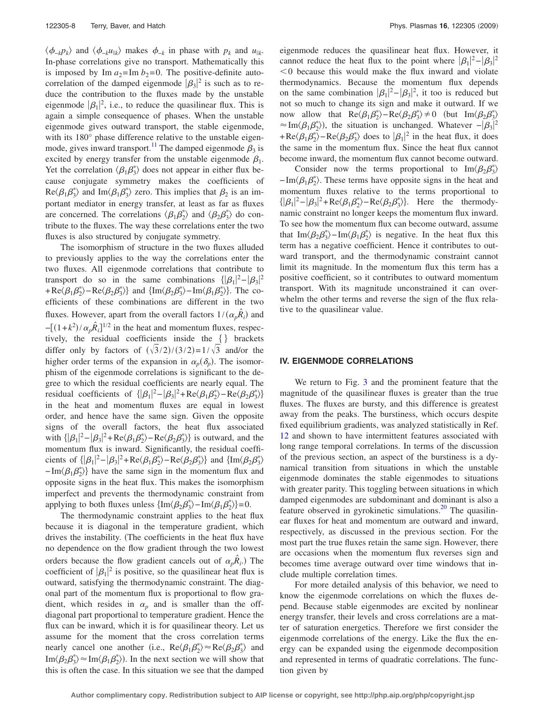$\langle \phi_{-k} p_k \rangle$  and  $\langle \phi_{-k} u_{\parallel k} \rangle$  makes  $\phi_{-k}$  in phase with  $p_k$  and  $u_{\parallel k}$ . In-phase correlations give no transport. Mathematically this is imposed by Im  $a_2$ = Im  $b_2$ =0. The positive-definite autocorrelation of the damped eigenmode  $|\beta_3|^2$  is such as to reduce the contribution to the fluxes made by the unstable eigenmode  $|\beta_1|^2$ , i.e., to reduce the quasilinear flux. This is again a simple consequence of phases. When the unstable eigenmode gives outward transport, the stable eigenmode, with its 180° phase difference relative to the unstable eigenmode, gives inward transport.<sup>11</sup> The damped eigenmode  $\beta_3$  is excited by energy transfer from the unstable eigenmode  $\beta_1$ . Yet the correlation  $\langle \beta_1 \beta_3^* \rangle$  does not appear in either flux because conjugate symmetry makes the coefficients of  $\text{Re}\langle \beta_1 \beta_3^* \rangle$  and  $\text{Im}\langle \beta_1 \beta_3^* \rangle$  zero. This implies that  $\beta_2$  is an important mediator in energy transfer, at least as far as fluxes are concerned. The correlations  $\langle \beta_1 \beta_2^* \rangle$  and  $\langle \beta_2 \beta_3^* \rangle$  do contribute to the fluxes. The way these correlations enter the two fluxes is also structured by conjugate symmetry.

The isomorphism of structure in the two fluxes alluded to previously applies to the way the correlations enter the two fluxes. All eigenmode correlations that contribute to transport do so in the same combinations  $\{|\beta_1|^2 - |\beta_3|^2\}$  $+Re(\beta_1\beta_2^*) - Re(\beta_2\beta_3^*)\}$  and  $\{\text{Im}\langle\beta_2\beta_3^*\rangle - \text{Im}\langle\beta_1\beta_2^*\rangle\}$ . The coefficients of these combinations are different in the two fluxes. However, apart from the overall factors  $1/(\alpha_p \hat{R}_i)$  and  $-[ (1+k^2)/\alpha_p \hat{R}_i]^{1/2}$  in the heat and momentum fluxes, respectively, the residual coefficients inside the  $\{\}$  brackets differ only by factors of  $(\sqrt{3}/2)/(3/2)=1/\sqrt{3}$  and/or the higher order terms of the expansion in  $\alpha_p(\delta_p)$ . The isomorphism of the eigenmode correlations is significant to the degree to which the residual coefficients are nearly equal. The residual coefficients of  $\{ |\beta_1|^2 - |\beta_3|^2 + \text{Re} \langle \beta_1 \beta_2^* \rangle - \text{Re} \langle \beta_2 \beta_3^* \rangle \}$ in the heat and momentum fluxes are equal in lowest order, and hence have the same sign. Given the opposite signs of the overall factors, the heat flux associated with  $\{|\beta_1|^2 - |\beta_3|^2 + \text{Re}\langle \beta_1 \beta_2^* \rangle - \text{Re}\langle \beta_2 \beta_3^* \rangle\}$  is outward, and the momentum flux is inward. Significantly, the residual coefficients of  $\{ |\beta_1|^2 - |\beta_3|^2 + \text{Re}(\beta_1 \beta_2^*) - \text{Re}(\beta_2 \beta_3^*) \}$  and  $\{ \text{Im}(\beta_2 \beta_3^*) \}$  $-\text{Im}\langle\beta_1\beta_2^*\rangle$  have the same sign in the momentum flux and opposite signs in the heat flux. This makes the isomorphism imperfect and prevents the thermodynamic constraint from applying to both fluxes unless  $\{\text{Im}\langle \beta_2 \beta_3^* \rangle - \text{Im}\langle \beta_1 \beta_2^* \rangle\} = 0$ .

The thermodynamic constraint applies to the heat flux because it is diagonal in the temperature gradient, which drives the instability. The coefficients in the heat flux have no dependence on the flow gradient through the two lowest orders because the flow gradient cancels out of  $\alpha_p \hat{R}_i$ .) The coefficient of  $|\beta_1|^2$  is positive, so the quasilinear heat flux is outward, satisfying the thermodynamic constraint. The diagonal part of the momentum flux is proportional to flow gradient, which resides in  $\alpha_p$  and is smaller than the offdiagonal part proportional to temperature gradient. Hence the flux can be inward, which it is for quasilinear theory. Let us assume for the moment that the cross correlation terms nearly cancel one another (i.e.,  $\text{Re}\langle \beta_1 \beta_2^* \rangle \approx \text{Re}\langle \beta_2 \beta_3^* \rangle$  and  $\text{Im}\langle \beta_2 \beta_3^* \rangle \approx \text{Im}\langle \beta_1 \beta_2^* \rangle$ ). In the next section we will show that this is often the case. In this situation we see that the damped eigenmode reduces the quasilinear heat flux. However, it cannot reduce the heat flux to the point where  $|\beta_1|^2 - |\beta_3|^2$  $0$  because this would make the flux inward and violate thermodynamics. Because the momentum flux depends on the same combination  $|\beta_1|^2 - |\beta_3|^2$ , it too is reduced but not so much to change its sign and make it outward. If we now allow that  $\text{Re}\langle \beta_1 \beta_2^* \rangle - \text{Re}\langle \beta_2 \beta_3^* \rangle \neq 0$  (but  $\text{Im}\langle \beta_2 \beta_3^* \rangle$ )  $\approx \text{Im}\langle \beta_1 \beta_2^* \rangle$ , the situation is unchanged. Whatever  $-|\beta_3|^2$  $+Re\langle\beta_1\beta_2^*\rangle - Re\langle\beta_2\beta_3^*\rangle$  does to  $|\beta_1|^2$  in the heat flux, it does the same in the momentum flux. Since the heat flux cannot become inward, the momentum flux cannot become outward.

Consider now the terms proportional to  $\text{Im}\langle\beta_2\beta_3^*\rangle$  $-\text{Im}\langle\beta_1\beta_2^*\rangle$ . These terms have opposite signs in the heat and momentum fluxes relative to the terms proportional to  $\{ |\beta_1|^2 - |\beta_3|^2 + \text{Re}\langle \beta_1 \beta_2^* \rangle - \text{Re}\langle \beta_2 \beta_3^* \rangle \}.$  Here the thermodynamic constraint no longer keeps the momentum flux inward. To see how the momentum flux can become outward, assume that Im $\langle \beta_2 \beta_3^* \rangle$ -Im $\langle \beta_1 \beta_2^* \rangle$  is negative. In the heat flux this term has a negative coefficient. Hence it contributes to outward transport, and the thermodynamic constraint cannot limit its magnitude. In the momentum flux this term has a positive coefficient, so it contributes to outward momentum transport. With its magnitude unconstrained it can overwhelm the other terms and reverse the sign of the flux relative to the quasilinear value.

# **IV. EIGENMODE CORRELATIONS**

We return to Fig. [3](#page-4-3) and the prominent feature that the magnitude of the quasilinear fluxes is greater than the true fluxes. The fluxes are bursty, and this difference is greatest away from the peaks. The burstiness, which occurs despite fixed equilibrium gradients, was analyzed statistically in Ref. [12](#page-10-11) and shown to have intermittent features associated with long range temporal correlations. In terms of the discussion of the previous section, an aspect of the burstiness is a dynamical transition from situations in which the unstable eigenmode dominates the stable eigenmodes to situations with greater parity. This toggling between situations in which damped eigenmodes are subdominant and dominant is also a feature observed in gyrokinetic simulations.<sup>20</sup> The quasilinear fluxes for heat and momentum are outward and inward, respectively, as discussed in the previous section. For the most part the true fluxes retain the same sign. However, there are occasions when the momentum flux reverses sign and becomes time average outward over time windows that include multiple correlation times.

For more detailed analysis of this behavior, we need to know the eigenmode correlations on which the fluxes depend. Because stable eigenmodes are excited by nonlinear energy transfer, their levels and cross correlations are a matter of saturation energetics. Therefore we first consider the eigenmode correlations of the energy. Like the flux the energy can be expanded using the eigenmode decomposition and represented in terms of quadratic correlations. The function given by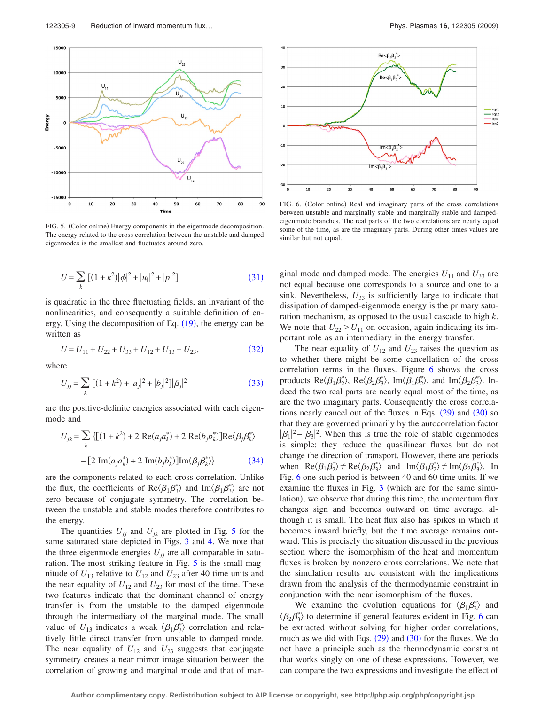<span id="page-8-4"></span>

FIG. 5. (Color online) Energy components in the eigenmode decomposition. The energy related to the cross correlation between the unstable and damped eigenmodes is the smallest and fluctuates around zero.

<span id="page-8-0"></span>
$$
U = \sum_{k} [(1 + k^2)|\phi|^2 + |u_{\parallel}|^2 + |p|^2]
$$
 (31)

is quadratic in the three fluctuating fields, an invariant of the nonlinearities, and consequently a suitable definition of en-ergy. Using the decomposition of Eq. ([19](#page-5-3)), the energy can be written as

$$
U = U_{11} + U_{22} + U_{33} + U_{12} + U_{13} + U_{23},
$$
\n(32)

<span id="page-8-2"></span><span id="page-8-1"></span>where

$$
U_{jj} = \sum_{k} \left[ (1 + k^2) + |a_j|^2 + |b_j|^2 \right] |\beta_j|^2 \tag{33}
$$

<span id="page-8-3"></span>are the positive-definite energies associated with each eigenmode and

$$
U_{jk} = \sum_{k} \left\{ \left[ (1 + k^2) + 2 \operatorname{Re}(a_j a_k^*) + 2 \operatorname{Re}(b_j b_k^*) \right] \operatorname{Re} \langle \beta_j \beta_k^* \rangle \right\}
$$

$$
- \left[ 2 \operatorname{Im}(a_j a_k^*) + 2 \operatorname{Im}(b_j b_k^*) \right] \operatorname{Im} \langle \beta_j \beta_k^* \rangle \} \tag{34}
$$

are the components related to each cross correlation. Unlike the flux, the coefficients of Re $\langle \beta_1 \beta_3^* \rangle$  and Im $\langle \beta_1 \beta_3^* \rangle$  are not zero because of conjugate symmetry. The correlation between the unstable and stable modes therefore contributes to the energy.

The quantities  $U_{jj}$  and  $U_{jk}$  are plotted in Fig. [5](#page-8-4) for the same saturated state depicted in Figs. [3](#page-4-3) and [4.](#page-5-0) We note that the three eigenmode energies  $U_{jj}$  are all comparable in satu-ration. The most striking feature in Fig. [5](#page-8-4) is the small magnitude of  $U_{13}$  relative to  $U_{12}$  and  $U_{23}$  after 40 time units and the near equality of  $U_{12}$  and  $U_{23}$  for most of the time. These two features indicate that the dominant channel of energy transfer is from the unstable to the damped eigenmode through the intermediary of the marginal mode. The small value of  $U_{13}$  indicates a weak  $\langle \beta_1 \beta_3^* \rangle$  correlation and relatively little direct transfer from unstable to damped mode. The near equality of  $U_{12}$  and  $U_{23}$  suggests that conjugate symmetry creates a near mirror image situation between the correlation of growing and marginal mode and that of mar-



<span id="page-8-5"></span>

FIG. 6. (Color online) Real and imaginary parts of the cross correlations between unstable and marginally stable and marginally stable and dampedeigenmode branches. The real parts of the two correlations are nearly equal some of the time, as are the imaginary parts. During other times values are similar but not equal.

ginal mode and damped mode. The energies  $U_{11}$  and  $U_{33}$  are not equal because one corresponds to a source and one to a sink. Nevertheless,  $U_{33}$  is sufficiently large to indicate that dissipation of damped-eigenmode energy is the primary saturation mechanism, as opposed to the usual cascade to high *k*. We note that  $U_{22} > U_{11}$  on occasion, again indicating its important role as an intermediary in the energy transfer.

The near equality of  $U_{12}$  and  $U_{23}$  raises the question as to whether there might be some cancellation of the cross correlation terms in the fluxes. Figure [6](#page-8-5) shows the cross products  $\text{Re}\langle \beta_1 \beta_2^* \rangle$ ,  $\text{Re}\langle \beta_2 \beta_3^* \rangle$ ,  $\text{Im}\langle \beta_1 \beta_2^* \rangle$ , and  $\text{Im}\langle \beta_2 \beta_3^* \rangle$ . Indeed the two real parts are nearly equal most of the time, as are the two imaginary parts. Consequently the cross correlations nearly cancel out of the fluxes in Eqs.  $(29)$  $(29)$  $(29)$  and  $(30)$  $(30)$  $(30)$  so that they are governed primarily by the autocorrelation factor  $|\beta_1|^2 - |\beta_3|^2$ . When this is true the role of stable eigenmodes is simple: they reduce the quasilinear fluxes but do not change the direction of transport. However, there are periods when  $\text{Re}\langle \beta_1 \beta_2^* \rangle \neq \text{Re}\langle \beta_2 \beta_3^* \rangle$  and  $\text{Im}\langle \beta_1 \beta_2^* \rangle \neq \text{Im}\langle \beta_2 \beta_3^* \rangle$ . In Fig. [6](#page-8-5) one such period is between 40 and 60 time units. If we examine the fluxes in Fig.  $3$  (which are for the same simulation), we observe that during this time, the momentum flux changes sign and becomes outward on time average, although it is small. The heat flux also has spikes in which it becomes inward briefly, but the time average remains outward. This is precisely the situation discussed in the previous section where the isomorphism of the heat and momentum fluxes is broken by nonzero cross correlations. We note that the simulation results are consistent with the implications drawn from the analysis of the thermodynamic constraint in conjunction with the near isomorphism of the fluxes.

We examine the evolution equations for  $\langle \beta_1 \beta_2^* \rangle$  and  $\langle \beta_2 \beta_3^* \rangle$  to determine if general features evident in Fig. [6](#page-8-5) can be extracted without solving for higher order correlations, much as we did with Eqs.  $(29)$  $(29)$  $(29)$  and  $(30)$  $(30)$  $(30)$  for the fluxes. We do not have a principle such as the thermodynamic constraint that works singly on one of these expressions. However, we can compare the two expressions and investigate the effect of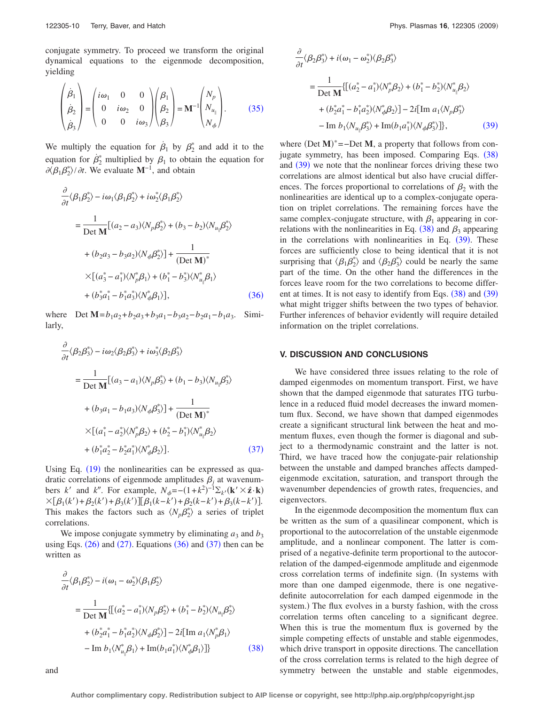$\mathcal{L}$ 

conjugate symmetry. To proceed we transform the original dynamical equations to the eigenmode decomposition, yielding

<span id="page-9-0"></span>
$$
\begin{pmatrix} \dot{\beta}_1 \\ \dot{\beta}_2 \\ \dot{\beta}_3 \end{pmatrix} = \begin{pmatrix} i\omega_1 & 0 & 0 \\ 0 & i\omega_2 & 0 \\ 0 & 0 & i\omega_3 \end{pmatrix} \begin{pmatrix} \beta_1 \\ \beta_2 \\ \beta_3 \end{pmatrix} = \mathbf{M}^{-1} \begin{pmatrix} N_p \\ N_{u_{\parallel}} \\ N_{\phi} \end{pmatrix}.
$$
 (35)

We multiply the equation for  $\dot{\beta}_1$  by  $\beta_2^*$  and add it to the equation for  $\dot{\beta}_2^*$  multiplied by  $\beta_1$  to obtain the equation for  $\partial \langle \beta_1 \beta_2^* \rangle / \partial t$ . We evaluate **M**<sup>-1</sup>, and obtain

<span id="page-9-1"></span>
$$
\frac{\partial}{\partial t} \langle \beta_1 \beta_2^* \rangle - i \omega_1 \langle \beta_1 \beta_2^* \rangle + i \omega_2^* \langle \beta_1 \beta_2^* \rangle
$$
\n
$$
= \frac{1}{\text{Det } \mathbf{M}} \Big[ (a_2 - a_3) \langle N_p \beta_2^* \rangle + (b_3 - b_2) \langle N_{u_{\parallel}} \beta_2^* \rangle
$$
\n
$$
+ (b_2 a_3 - b_3 a_2) \langle N_{\phi} \beta_2^* \rangle \Big] + \frac{1}{(\text{Det } \mathbf{M})^*}
$$
\n
$$
\times \Big[ (a_3^* - a_1^*) \langle N_p^* \beta_1 \rangle + (b_1^* - b_3^*) \langle N_{u_{\parallel}}^* \beta_1 \rangle
$$
\n
$$
+ (b_3^* a_1^* - b_1^* a_3^*) \langle N_{\phi}^* \beta_1 \rangle \Big], \tag{36}
$$

where Det  $M = b_1 a_2 + b_2 a_3 + b_3 a_1 - b_3 a_2 - b_2 a_1 - b_1 a_3$ . Similarly,

<span id="page-9-2"></span>
$$
\frac{\partial}{\partial t} \langle \beta_2 \beta_3^* \rangle - i \omega_2 \langle \beta_2 \beta_3^* \rangle + i \omega_3^* \langle \beta_2 \beta_3^* \rangle
$$
\n
$$
= \frac{1}{\text{Det } \mathbf{M}} \Big[ (a_3 - a_1) \langle N_p \beta_3^* \rangle + (b_1 - b_3) \langle N_{u_{\parallel}} \beta_3^* \rangle
$$
\n
$$
+ (b_3 a_1 - b_1 a_3) \langle N_{\phi} \beta_3^* \rangle \Big] + \frac{1}{(\text{Det } \mathbf{M})^*}
$$
\n
$$
\times \Big[ (a_1^* - a_2^*) \langle N_p^* \beta_2 \rangle + (b_2^* - b_1^*) \langle N_{u_{\parallel}}^* \beta_2 \rangle
$$
\n
$$
+ (b_1^* a_2^* - b_2^* a_1^*) \langle N_{\phi}^* \beta_2 \rangle \Big]. \tag{37}
$$

Using Eq. ([19](#page-5-3)) the nonlinearities can be expressed as quadratic correlations of eigenmode amplitudes  $\beta_i$  at wavenumbers *k'* and *k''*. For example,  $N_{\phi} = -(1 + k^2)^{-1} \Sigma_{k'} (\mathbf{k'} \times \hat{\mathbf{z}} \cdot \mathbf{k})$  $\times [\beta_1(k') + \beta_2(k') + \beta_3(k')] [\beta_1(k-k') + \beta_2(k-k') + \beta_3(k-k')]$ . This makes the factors such as  $\langle N_p \beta_2^* \rangle$  a series of triplet correlations.

We impose conjugate symmetry by eliminating  $a_3$  and  $b_3$ using Eqs.  $(26)$  $(26)$  $(26)$  and  $(27)$  $(27)$  $(27)$ . Equations  $(36)$  $(36)$  $(36)$  and  $(37)$  $(37)$  $(37)$  then can be written as

<span id="page-9-3"></span>
$$
\frac{\partial}{\partial t} \langle \beta_1 \beta_2^* \rangle - i(\omega_1 - \omega_2^*) \langle \beta_1 \beta_2^* \rangle
$$
\n
$$
= \frac{1}{\text{Det } \mathbf{M}} \{ [(a_2^* - a_1^*) \langle N_p \beta_2^* \rangle + (b_1^* - b_2^*) \langle N_{u_{\parallel}} \beta_2^* \rangle
$$
\n
$$
+ (b_2^* a_1^* - b_1^* a_2^*) \langle N_{\phi} \beta_2^* \rangle ] - 2i [\text{Im } a_1 \langle N_p^* \beta_1 \rangle
$$
\n
$$
- \text{Im } b_1 \langle N_{u_{\parallel}}^* \beta_1 \rangle + \text{Im}(b_1 a_1^*) \langle N_{\phi}^* \beta_1 \rangle ] \} \tag{38}
$$

<span id="page-9-4"></span>
$$
\frac{\partial}{\partial t} \langle \beta_2 \beta_3^* \rangle + i(\omega_1 - \omega_2^*) \langle \beta_2 \beta_3^* \rangle
$$
\n
$$
= \frac{1}{\text{Det } \mathbf{M}} \{ [(a_2^* - a_1^*) \langle N_p^* \beta_2 \rangle + (b_1^* - b_2^*) \langle N_{u_{\parallel}}^* \beta_2 \rangle
$$
\n
$$
+ (b_2^* a_1^* - b_1^* a_2^*) \langle N_{\phi}^* \beta_2 \rangle ] - 2i [\text{Im } a_1 \langle N_p \beta_3^* \rangle
$$
\n
$$
- \text{Im } b_1 \langle N_{u_{\parallel}} \beta_3^* \rangle + \text{Im} (b_1 a_1^*) \langle N_{\phi} \beta_3^* \rangle ] \}, \tag{39}
$$

where  $(Det M)^*$  = -Det M, a property that follows from con-jugate symmetry, has been imposed. Comparing Eqs. ([38](#page-9-3)) and ([39](#page-9-4)) we note that the nonlinear forces driving these two correlations are almost identical but also have crucial differences. The forces proportional to correlations of  $\beta_2$  with the nonlinearities are identical up to a complex-conjugate operation on triplet correlations. The remaining forces have the same complex-conjugate structure, with  $\beta_1$  appearing in correlations with the nonlinearities in Eq.  $(38)$  $(38)$  $(38)$  and  $\beta_3$  appearing in the correlations with nonlinearities in Eq.  $(39)$  $(39)$  $(39)$ . These forces are sufficiently close to being identical that it is not surprising that  $\langle \beta_1 \beta_2^* \rangle$  and  $\langle \beta_2 \beta_3^* \rangle$  could be nearly the same part of the time. On the other hand the differences in the forces leave room for the two correlations to become different at times. It is not easy to identify from Eqs.  $(38)$  $(38)$  $(38)$  and  $(39)$  $(39)$  $(39)$ what might trigger shifts between the two types of behavior. Further inferences of behavior evidently will require detailed information on the triplet correlations.

## **V. DISCUSSION AND CONCLUSIONS**

We have considered three issues relating to the role of damped eigenmodes on momentum transport. First, we have shown that the damped eigenmode that saturates ITG turbulence in a reduced fluid model decreases the inward momentum flux. Second, we have shown that damped eigenmodes create a significant structural link between the heat and momentum fluxes, even though the former is diagonal and subject to a thermodynamic constraint and the latter is not. Third, we have traced how the conjugate-pair relationship between the unstable and damped branches affects dampedeigenmode excitation, saturation, and transport through the wavenumber dependencies of growth rates, frequencies, and eigenvectors.

In the eigenmode decomposition the momentum flux can be written as the sum of a quasilinear component, which is proportional to the autocorrelation of the unstable eigenmode amplitude, and a nonlinear component. The latter is comprised of a negative-definite term proportional to the autocorrelation of the damped-eigenmode amplitude and eigenmode cross correlation terms of indefinite sign. In systems with more than one damped eigenmode, there is one negativedefinite autocorrelation for each damped eigenmode in the system.) The flux evolves in a bursty fashion, with the cross correlation terms often canceling to a significant degree. When this is true the momentum flux is governed by the simple competing effects of unstable and stable eigenmodes, which drive transport in opposite directions. The cancellation of the cross correlation terms is related to the high degree of symmetry between the unstable and stable eigenmodes,